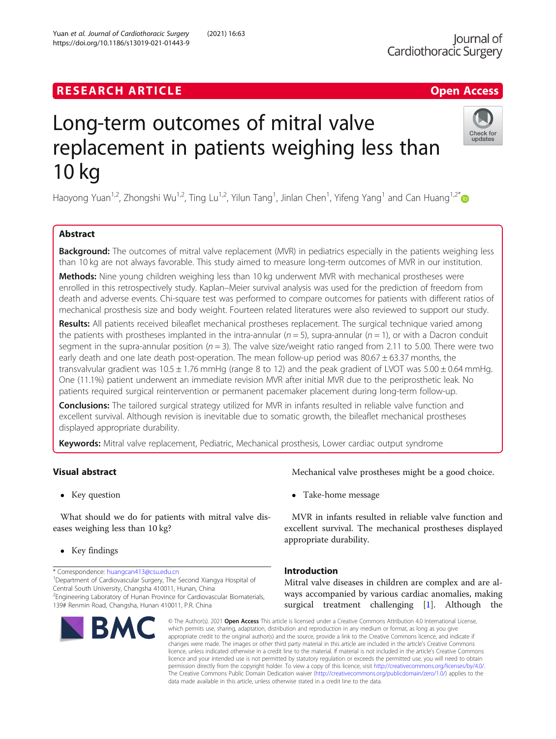# **RESEARCH ARTICLE Example 2018 12:30 The Contract of Contract ACCESS**

# Long-term outcomes of mitral valve replacement in patients weighing less than 10 kg

Haoyong Yuan<sup>1,2</sup>, Zhongshi Wu<sup>1,2</sup>, Ting Lu<sup>1,2</sup>, Yilun Tang<sup>1</sup>, Jinlan Chen<sup>1</sup>, Yifeng Yang<sup>1</sup> and Can Huang<sup>1,2\*</sup>

# Abstract

**Background:** The outcomes of mitral valve replacement (MVR) in pediatrics especially in the patients weighing less than 10 kg are not always favorable. This study aimed to measure long-term outcomes of MVR in our institution.

Methods: Nine young children weighing less than 10 kg underwent MVR with mechanical prostheses were enrolled in this retrospectively study. Kaplan–Meier survival analysis was used for the prediction of freedom from death and adverse events. Chi-square test was performed to compare outcomes for patients with different ratios of mechanical prosthesis size and body weight. Fourteen related literatures were also reviewed to support our study.

Results: All patients received bileaflet mechanical prostheses replacement. The surgical technique varied among the patients with prostheses implanted in the intra-annular ( $n = 5$ ), supra-annular ( $n = 1$ ), or with a Dacron conduit segment in the supra-annular position ( $n = 3$ ). The valve size/weight ratio ranged from 2.11 to 5.00. There were two early death and one late death post-operation. The mean follow-up period was  $80.67 \pm 63.37$  months, the transvalvular gradient was  $10.5 \pm 1.76$  mmHg (range 8 to 12) and the peak gradient of LVOT was  $5.00 \pm 0.64$  mmHg. One (11.1%) patient underwent an immediate revision MVR after initial MVR due to the periprosthetic leak. No patients required surgical reintervention or permanent pacemaker placement during long-term follow-up.

**Conclusions:** The tailored surgical strategy utilized for MVR in infants resulted in reliable valve function and excellent survival. Although revision is inevitable due to somatic growth, the bileaflet mechanical prostheses displayed appropriate durability.

Keywords: Mitral valve replacement, Pediatric, Mechanical prosthesis, Lower cardiac output syndrome

# Visual abstract

• Key question

What should we do for patients with mitral valve diseases weighing less than 10 kg?

• Key findings

\* Correspondence: [huangcan413@csu.edu.cn](mailto:huangcan413@csu.edu.cn) <sup>1</sup>

<sup>1</sup>Department of Cardiovascular Surgery, The Second Xiangya Hospital of Central South University, Changsha 410011, Hunan, China

<sup>2</sup> Engineering Laboratory of Hunan Province for Cardiovascular Biomaterials, 139# Renmin Road, Changsha, Hunan 410011, P.R. China

# Take-home message

MVR in infants resulted in reliable valve function and excellent survival. The mechanical prostheses displayed appropriate durability.

Mechanical valve prostheses might be a good choice.

# Introduction

Mitral valve diseases in children are complex and are always accompanied by various cardiac anomalies, making surgical treatment challenging [\[1](#page-6-0)]. Although the

© The Author(s). 2021 Open Access This article is licensed under a Creative Commons Attribution 4.0 International License, which permits use, sharing, adaptation, distribution and reproduction in any medium or format, as long as you give appropriate credit to the original author(s) and the source, provide a link to the Creative Commons licence, and indicate if changes were made. The images or other third party material in this article are included in the article's Creative Commons licence, unless indicated otherwise in a credit line to the material. If material is not included in the article's Creative Commons licence and your intended use is not permitted by statutory regulation or exceeds the permitted use, you will need to obtain permission directly from the copyright holder. To view a copy of this licence, visit [http://creativecommons.org/licenses/by/4.0/.](http://creativecommons.org/licenses/by/4.0/) The Creative Commons Public Domain Dedication waiver [\(http://creativecommons.org/publicdomain/zero/1.0/](http://creativecommons.org/publicdomain/zero/1.0/)) applies to the data made available in this article, unless otherwise stated in a credit line to the data.

**RM** 



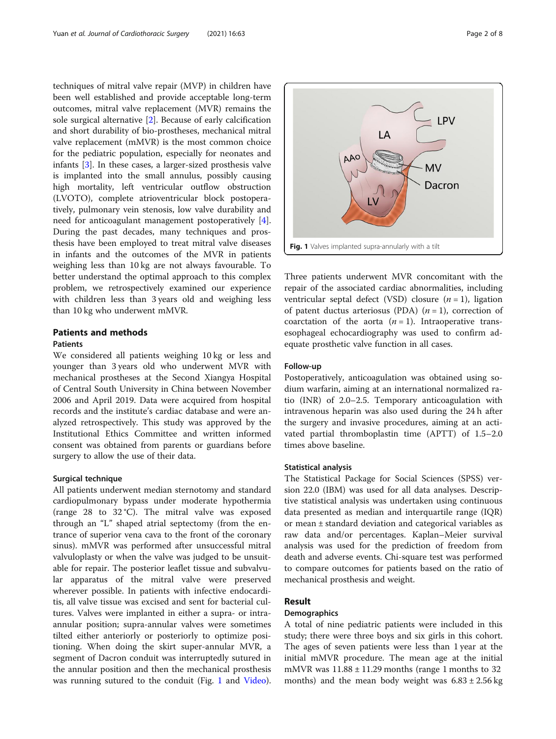techniques of mitral valve repair (MVP) in children have been well established and provide acceptable long-term outcomes, mitral valve replacement (MVR) remains the sole surgical alternative [\[2](#page-6-0)]. Because of early calcification and short durability of bio-prostheses, mechanical mitral valve replacement (mMVR) is the most common choice for the pediatric population, especially for neonates and infants [[3\]](#page-6-0). In these cases, a larger-sized prosthesis valve is implanted into the small annulus, possibly causing high mortality, left ventricular outflow obstruction (LVOTO), complete atrioventricular block postoperatively, pulmonary vein stenosis, low valve durability and need for anticoagulant management postoperatively [\[4](#page-6-0)]. During the past decades, many techniques and prosthesis have been employed to treat mitral valve diseases in infants and the outcomes of the MVR in patients weighing less than 10 kg are not always favourable. To better understand the optimal approach to this complex problem, we retrospectively examined our experience with children less than 3 years old and weighing less than 10 kg who underwent mMVR.

# Patients and methods

# **Patients**

We considered all patients weighing 10 kg or less and younger than 3 years old who underwent MVR with mechanical prostheses at the Second Xiangya Hospital of Central South University in China between November 2006 and April 2019. Data were acquired from hospital records and the institute's cardiac database and were analyzed retrospectively. This study was approved by the Institutional Ethics Committee and written informed consent was obtained from parents or guardians before surgery to allow the use of their data.

# Surgical technique

All patients underwent median sternotomy and standard cardiopulmonary bypass under moderate hypothermia (range 28 to 32 °C). The mitral valve was exposed through an "L" shaped atrial septectomy (from the entrance of superior vena cava to the front of the coronary sinus). mMVR was performed after unsuccessful mitral valvuloplasty or when the valve was judged to be unsuitable for repair. The posterior leaflet tissue and subvalvular apparatus of the mitral valve were preserved wherever possible. In patients with infective endocarditis, all valve tissue was excised and sent for bacterial cultures. Valves were implanted in either a supra- or intraannular position; supra-annular valves were sometimes tilted either anteriorly or posteriorly to optimize positioning. When doing the skirt super-annular MVR, a segment of Dacron conduit was interruptedly sutured in the annular position and then the mechanical prosthesis was running sutured to the conduit (Fig. 1 and [Video](#page-6-0)).



Three patients underwent MVR concomitant with the repair of the associated cardiac abnormalities, including ventricular septal defect (VSD) closure  $(n = 1)$ , ligation of patent ductus arteriosus (PDA)  $(n = 1)$ , correction of coarctation of the aorta  $(n = 1)$ . Intraoperative transesophageal echocardiography was used to confirm adequate prosthetic valve function in all cases.

## Follow-up

Postoperatively, anticoagulation was obtained using sodium warfarin, aiming at an international normalized ratio (INR) of 2.0–2.5. Temporary anticoagulation with intravenous heparin was also used during the 24 h after the surgery and invasive procedures, aiming at an activated partial thromboplastin time (APTT) of 1.5–2.0 times above baseline.

# Statistical analysis

The Statistical Package for Social Sciences (SPSS) version 22.0 (IBM) was used for all data analyses. Descriptive statistical analysis was undertaken using continuous data presented as median and interquartile range (IQR) or mean ± standard deviation and categorical variables as raw data and/or percentages. Kaplan–Meier survival analysis was used for the prediction of freedom from death and adverse events. Chi-square test was performed to compare outcomes for patients based on the ratio of mechanical prosthesis and weight.

## Result

#### **Demographics**

A total of nine pediatric patients were included in this study; there were three boys and six girls in this cohort. The ages of seven patients were less than 1 year at the initial mMVR procedure. The mean age at the initial mMVR was  $11.88 \pm 11.29$  months (range 1 months to 32 months) and the mean body weight was  $6.83 \pm 2.56$  kg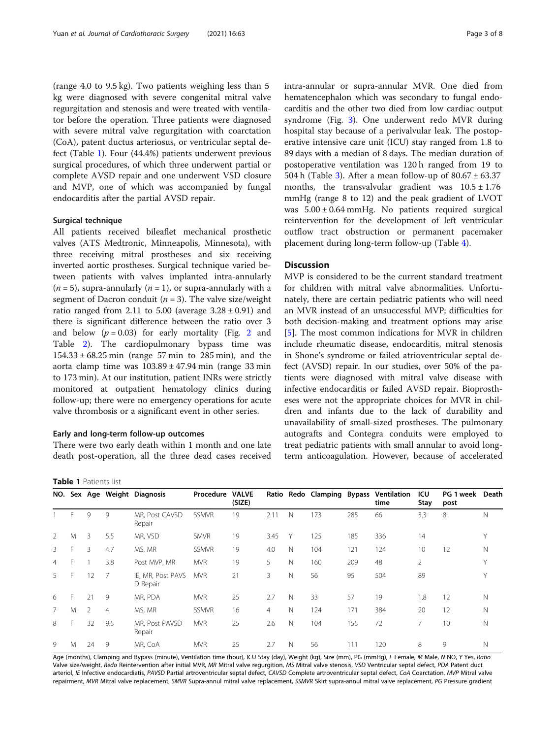(range 4.0 to 9.5 kg). Two patients weighing less than 5 kg were diagnosed with severe congenital mitral valve regurgitation and stenosis and were treated with ventilator before the operation. Three patients were diagnosed with severe mitral valve regurgitation with coarctation (CoA), patent ductus arteriosus, or ventricular septal defect (Table 1). Four (44.4%) patients underwent previous surgical procedures, of which three underwent partial or complete AVSD repair and one underwent VSD closure and MVP, one of which was accompanied by fungal endocarditis after the partial AVSD repair.

## Surgical technique

All patients received bileaflet mechanical prosthetic valves (ATS Medtronic, Minneapolis, Minnesota), with three receiving mitral prostheses and six receiving inverted aortic prostheses. Surgical technique varied between patients with valves implanted intra-annularly  $(n = 5)$ , supra-annularly  $(n = 1)$ , or supra-annularly with a segment of Dacron conduit ( $n = 3$ ). The valve size/weight ratio ranged from 2.11 to 5.00 (average  $3.28 \pm 0.91$ ) and there is significant difference between the ratio over 3 and below  $(p = 0.03)$  for early mortality (Fig. [2](#page-3-0) and Table [2\)](#page-3-0). The cardiopulmonary bypass time was  $154.33 \pm 68.25$  min (range 57 min to 285 min), and the aorta clamp time was  $103.89 \pm 47.94$  min (range 33 min to 173 min). At our institution, patient INRs were strictly monitored at outpatient hematology clinics during follow-up; there were no emergency operations for acute valve thrombosis or a significant event in other series.

# Early and long-term follow-up outcomes

There were two early death within 1 month and one late death post-operation, all the three dead cases received

| Page 3 of 8 |  |  |
|-------------|--|--|
|             |  |  |

intra-annular or supra-annular MVR. One died from hematencephalon which was secondary to fungal endocarditis and the other two died from low cardiac output syndrome (Fig. [3](#page-4-0)). One underwent redo MVR during hospital stay because of a perivalvular leak. The postoperative intensive care unit (ICU) stay ranged from 1.8 to 89 days with a median of 8 days. The median duration of postoperative ventilation was 120 h ranged from 19 to 504 h (Table [3](#page-4-0)). After a mean follow-up of  $80.67 \pm 63.37$ months, the transvalvular gradient was  $10.5 \pm 1.76$ mmHg (range 8 to 12) and the peak gradient of LVOT was  $5.00 \pm 0.64$  mmHg. No patients required surgical reintervention for the development of left ventricular outflow tract obstruction or permanent pacemaker placement during long-term follow-up (Table [4\)](#page-5-0).

# **Discussion**

MVP is considered to be the current standard treatment for children with mitral valve abnormalities. Unfortunately, there are certain pediatric patients who will need an MVR instead of an unsuccessful MVP; difficulties for both decision-making and treatment options may arise [[5\]](#page-6-0). The most common indications for MVR in children include rheumatic disease, endocarditis, mitral stenosis in Shone's syndrome or failed atrioventricular septal defect (AVSD) repair. In our studies, over 50% of the patients were diagnosed with mitral valve disease with infective endocarditis or failed AVSD repair. Bioprostheses were not the appropriate choices for MVR in children and infants due to the lack of durability and unavailability of small-sized prostheses. The pulmonary autografts and Contegra conduits were employed to treat pediatric patients with small annular to avoid longterm anticoagulation. However, because of accelerated

#### Table 1 Patients list

| NO.            |    |    |                | Sex Age Weight Diagnosis      | Procedure    | <b>VALVE</b><br>(SIZE) |                |              |     |     | Ratio Redo Clamping Bypass Ventilation<br>time | ICU<br>Stay    | PG 1 week Death<br>post |             |
|----------------|----|----|----------------|-------------------------------|--------------|------------------------|----------------|--------------|-----|-----|------------------------------------------------|----------------|-------------------------|-------------|
|                | F  | 9  | 9              | MR, Post CAVSD<br>Repair      | <b>SSMVR</b> | 19                     | 2.11           | N            | 173 | 285 | 66                                             | 3.3            | 8                       | N           |
| 2              | M  | 3  | 5.5            | MR, VSD                       | <b>SMVR</b>  | 19                     | 3.45           | Υ            | 125 | 185 | 336                                            | 14             |                         | Υ           |
| 3              | F  | 3  | 4.7            | MS, MR                        | <b>SSMVR</b> | 19                     | 4.0            | N            | 104 | 121 | 124                                            | 10             | 12                      | N           |
| $\overline{4}$ | F. |    | 3.8            | Post MVP, MR                  | <b>MVR</b>   | 19                     | 5              | N            | 160 | 209 | 48                                             | $\overline{2}$ |                         | Y           |
| 5              | F  | 12 | 7              | IE, MR, Post PAVS<br>D Repair | <b>MVR</b>   | 21                     | 3              | $\mathbb N$  | 56  | 95  | 504                                            | 89             |                         | Υ           |
| 6              | F  | 21 | 9              | MR, PDA                       | <b>MVR</b>   | 25                     | 2.7            | N            | 33  | 57  | 19                                             | 1.8            | 12                      | $\mathbb N$ |
| 7              | M  | 2  | $\overline{4}$ | MS. MR                        | <b>SSMVR</b> | 16                     | $\overline{4}$ | $\mathbb N$  | 124 | 171 | 384                                            | 20             | 12                      | $\mathbb N$ |
| 8              | F  | 32 | 9.5            | MR, Post PAVSD<br>Repair      | <b>MVR</b>   | 25                     | 2.6            | $\mathsf{N}$ | 104 | 155 | 72                                             |                | 10                      | Ν           |
| 9              | M  | 24 | 9              | MR, CoA                       | <b>MVR</b>   | 25                     | 2.7            | $\mathsf{N}$ | 56  | 111 | 120                                            | 8              | 9                       | N           |

Age (months), Clamping and Bypass (minute), Ventilation time (hour), ICU Stay (day), Weight (kg), Size (mm), PG (mmHg), F Female, M Male, N NO, Y Yes, Ratio Valve size/weight, Redo Reintervention after initial MVR, MR Mitral valve regurgition, MS Mitral valve stenosis, VSD Ventricular septal defect, PDA Patent duct arteriol, IE Infective endocardiatis, PAVSD Partial artroventricular septal defect, CAVSD Complete artroventricular septal defect, CoA Coarctation, MVP Mitral valve repairment, MVR Mitral valve replacement, SMVR Supra-annul mitral valve replacement, SSMVR Skirt supra-annul mitral valve replacement, PG Pressure gradient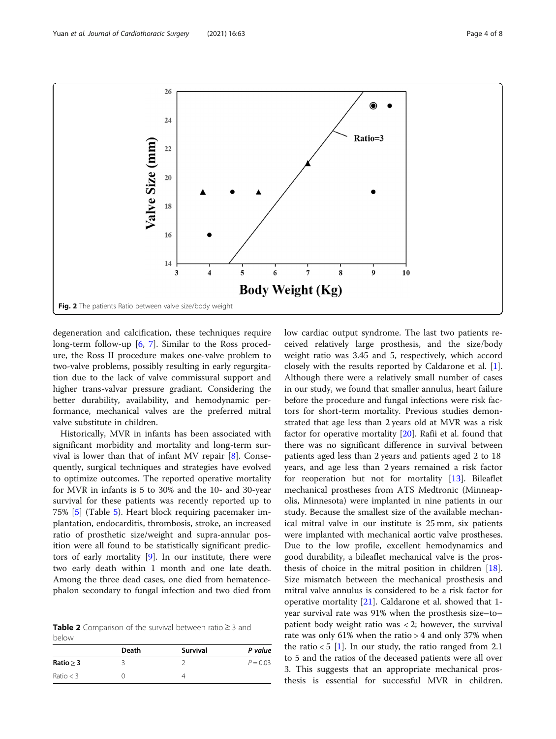<span id="page-3-0"></span>

degeneration and calcification, these techniques require long-term follow-up [\[6](#page-6-0), [7](#page-6-0)]. Similar to the Ross procedure, the Ross II procedure makes one-valve problem to two-valve problems, possibly resulting in early regurgitation due to the lack of valve commissural support and higher trans-valvar pressure gradiant. Considering the better durability, availability, and hemodynamic performance, mechanical valves are the preferred mitral valve substitute in children.

Historically, MVR in infants has been associated with significant morbidity and mortality and long-term survival is lower than that of infant MV repair [[8](#page-6-0)]. Consequently, surgical techniques and strategies have evolved to optimize outcomes. The reported operative mortality for MVR in infants is 5 to 30% and the 10- and 30-year survival for these patients was recently reported up to 75% [\[5\]](#page-6-0) (Table [5](#page-5-0)). Heart block requiring pacemaker implantation, endocarditis, thrombosis, stroke, an increased ratio of prosthetic size/weight and supra-annular position were all found to be statistically significant predictors of early mortality [[9\]](#page-6-0). In our institute, there were two early death within 1 month and one late death. Among the three dead cases, one died from hematencephalon secondary to fungal infection and two died from

Table 2 Comparison of the survival between ratio ≥ 3 and below

|             | Death | <b>Survival</b> | P value    |
|-------------|-------|-----------------|------------|
| Ratio > 3   |       |                 | $P = 0.03$ |
| Ratio $<$ 3 |       |                 |            |

low cardiac output syndrome. The last two patients received relatively large prosthesis, and the size/body weight ratio was 3.45 and 5, respectively, which accord closely with the results reported by Caldarone et al. [\[1](#page-6-0)]. Although there were a relatively small number of cases in our study, we found that smaller annulus, heart failure before the procedure and fungal infections were risk factors for short-term mortality. Previous studies demonstrated that age less than 2 years old at MVR was a risk factor for operative mortality [\[20](#page-7-0)]. Rafii et al. found that there was no significant difference in survival between patients aged less than 2 years and patients aged 2 to 18 years, and age less than 2 years remained a risk factor for reoperation but not for mortality [[13\]](#page-6-0). Bileaflet mechanical prostheses from ATS Medtronic (Minneapolis, Minnesota) were implanted in nine patients in our study. Because the smallest size of the available mechanical mitral valve in our institute is 25 mm, six patients were implanted with mechanical aortic valve prostheses. Due to the low profile, excellent hemodynamics and good durability, a bileaflet mechanical valve is the prosthesis of choice in the mitral position in children [\[18](#page-6-0)]. Size mismatch between the mechanical prosthesis and mitral valve annulus is considered to be a risk factor for operative mortality [\[21](#page-7-0)]. Caldarone et al. showed that 1 year survival rate was 91% when the prosthesis size–to– patient body weight ratio was  $<$  2; however, the survival rate was only 61% when the ratio > 4 and only 37% when the ratio  $< 5$  [\[1\]](#page-6-0). In our study, the ratio ranged from 2.1 to 5 and the ratios of the deceased patients were all over 3. This suggests that an appropriate mechanical prosthesis is essential for successful MVR in children.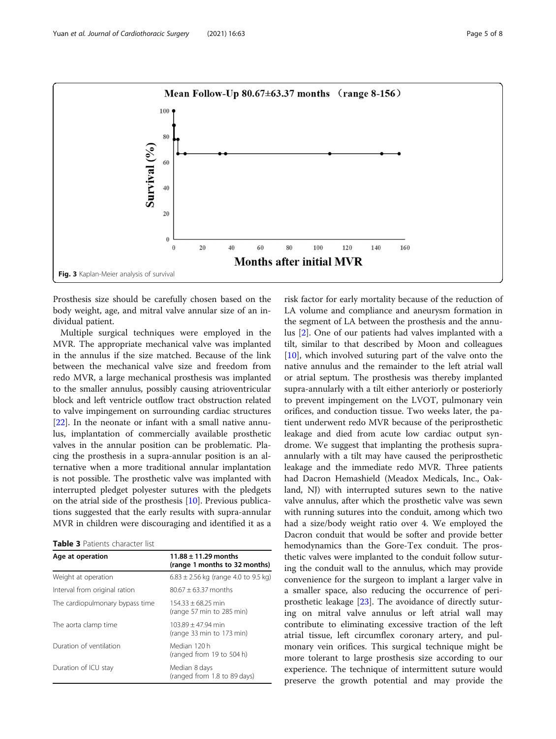<span id="page-4-0"></span>

Prosthesis size should be carefully chosen based on the body weight, age, and mitral valve annular size of an individual patient.

Multiple surgical techniques were employed in the MVR. The appropriate mechanical valve was implanted in the annulus if the size matched. Because of the link between the mechanical valve size and freedom from redo MVR, a large mechanical prosthesis was implanted to the smaller annulus, possibly causing atrioventricular block and left ventricle outflow tract obstruction related to valve impingement on surrounding cardiac structures [[22\]](#page-7-0). In the neonate or infant with a small native annulus, implantation of commercially available prosthetic valves in the annular position can be problematic. Placing the prosthesis in a supra-annular position is an alternative when a more traditional annular implantation is not possible. The prosthetic valve was implanted with interrupted pledget polyester sutures with the pledgets on the atrial side of the prosthesis [[10\]](#page-6-0). Previous publications suggested that the early results with supra-annular MVR in children were discouraging and identified it as a

Table 3 Patients character list

| Age at operation                | $11.88 \pm 11.29$ months<br>(range 1 months to 32 months) |
|---------------------------------|-----------------------------------------------------------|
| Weight at operation             | $6.83 \pm 2.56$ kg (range 4.0 to 9.5 kg)                  |
| Interval from original ration   | $80.67 + 63.37$ months                                    |
| The cardiopulmonary bypass time | $154.33 + 68.25$ min<br>(range 57 min to 285 min)         |
| The aorta clamp time            | $103.89 + 47.94$ min<br>(range 33 min to 173 min)         |
| Duration of ventilation         | Median 120 h<br>(ranged from 19 to 504 h)                 |
| Duration of ICU stay            | Median 8 days<br>(ranged from 1.8 to 89 days)             |

risk factor for early mortality because of the reduction of LA volume and compliance and aneurysm formation in the segment of LA between the prosthesis and the annulus [\[2\]](#page-6-0). One of our patients had valves implanted with a tilt, similar to that described by Moon and colleagues [[10\]](#page-6-0), which involved suturing part of the valve onto the native annulus and the remainder to the left atrial wall or atrial septum. The prosthesis was thereby implanted supra-annularly with a tilt either anteriorly or posteriorly to prevent impingement on the LVOT, pulmonary vein orifices, and conduction tissue. Two weeks later, the patient underwent redo MVR because of the periprosthetic leakage and died from acute low cardiac output syndrome. We suggest that implanting the prothesis supraannularly with a tilt may have caused the periprosthetic leakage and the immediate redo MVR. Three patients had Dacron Hemashield (Meadox Medicals, Inc., Oakland, NJ) with interrupted sutures sewn to the native valve annulus, after which the prosthetic valve was sewn with running sutures into the conduit, among which two had a size/body weight ratio over 4. We employed the Dacron conduit that would be softer and provide better hemodynamics than the Gore-Tex conduit. The prosthetic valves were implanted to the conduit follow suturing the conduit wall to the annulus, which may provide convenience for the surgeon to implant a larger valve in a smaller space, also reducing the occurrence of periprosthetic leakage [[23](#page-7-0)]. The avoidance of directly suturing on mitral valve annulus or left atrial wall may contribute to eliminating excessive traction of the left atrial tissue, left circumflex coronary artery, and pulmonary vein orifices. This surgical technique might be more tolerant to large prosthesis size according to our experience. The technique of intermittent suture would preserve the growth potential and may provide the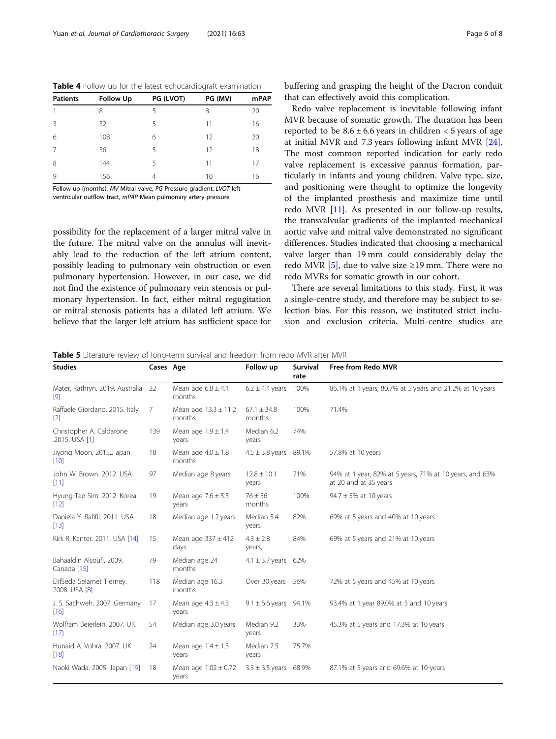<span id="page-5-0"></span>

|  | Table 4 Follow up for the latest echocardiograft examination |
|--|--------------------------------------------------------------|
|--|--------------------------------------------------------------|

| <b>Patients</b> | <b>Follow Up</b> | PG (LVOT) | PG (MV) | mPAP |  |
|-----------------|------------------|-----------|---------|------|--|
|                 | 8                | 5         | 8       | 20   |  |
| 3               | 32               | 5         | 11      | 16   |  |
| 6               | 108              | 6         | 12      | 20   |  |
| 7               | 36               | 5         | 12      | 18   |  |
| 8               | 144              | 5         | 11      | 17   |  |
| 9               | 156              | 4         | 10      | 16   |  |

Follow up (months), MV Mitral valve, PG Pressure gradient, LVOT left ventricular outflow tract, mPAP Mean pulmonary artery pressure

possibility for the replacement of a larger mitral valve in the future. The mitral valve on the annulus will inevitably lead to the reduction of the left atrium content, possibly leading to pulmonary vein obstruction or even pulmonary hypertension. However, in our case, we did not find the existence of pulmonary vein stenosis or pulmonary hypertension. In fact, either mitral regugitation or mitral stenosis patients has a dilated left atrium. We believe that the larger left atrium has sufficient space for

Redo valve replacement is inevitable following infant MVR because of somatic growth. The duration has been reported to be  $8.6 \pm 6.6$  years in children < 5 years of age at initial MVR and 7.3 years following infant MVR [\[24](#page-7-0)]. The most common reported indication for early redo valve replacement is excessive pannus formation, particularly in infants and young children. Valve type, size, and positioning were thought to optimize the longevity of the implanted prosthesis and maximize time until redo MVR [[11\]](#page-6-0). As presented in our follow-up results, the transvalvular gradients of the implanted mechanical aortic valve and mitral valve demonstrated no significant differences. Studies indicated that choosing a mechanical valve larger than 19 mm could considerably delay the redo MVR [[5](#page-6-0)], due to valve size  $\geq$ 19 mm. There were no redo MVRs for somatic growth in our cohort.

There are several limitations to this study. First, it was a single-centre study, and therefore may be subject to selection bias. For this reason, we instituted strict inclusion and exclusion criteria. Multi-centre studies are

Table 5 Literature review of long-term survival and freedom from redo MVR after MVR

| <b>Studies</b>                              | Cases Age |                                    | Follow up                    | <b>Survival</b><br>rate | Free from Redo MVR                                                               |
|---------------------------------------------|-----------|------------------------------------|------------------------------|-------------------------|----------------------------------------------------------------------------------|
| Mater, Kathryn. 2019. Australia 22<br>$[9]$ |           | Mean age $6.8 \pm 4.1$<br>months   | $6.2 \pm 4.4$ years          | 100%                    | 86.1% at 1 years, 80.7% at 5 years and 21.2% at 10 years                         |
| Raffaele Giordano. 2015. Italy<br>$[2]$     | 7         | Mean age $13.3 \pm 11.2$<br>months | $67.1 \pm 34.8$<br>months    | 100%                    | 71.4%                                                                            |
| Christopher A. Caldarone<br>.2015. USA [1]  | 139       | Mean age $1.9 \pm 1.4$<br>years    | Median 6.2<br>years          | 74%                     |                                                                                  |
| Jiyong Moon. 2015.J apan<br>$[10]$          | 18        | Mean age $4.0 \pm 1.8$<br>months   | $4.5 \pm 3.8$ years 89.1%    |                         | 57.8% at 10 years                                                                |
| John W. Brown, 2012, USA<br>$[11]$          | 97        | Median age 8 years                 | $12.8 \pm 10.1$<br>years     | 71%                     | 94% at 1 year, 82% at 5 years, 71% at 10 years, and 63%<br>at 20 and at 35 years |
| Hyung-Tae Sim. 2012. Korea<br>$[12]$        | 19        | Mean age $7.6 \pm 5.5$<br>years    | $76 \pm 56$<br>months        | 100%                    | $94.7 \pm 5\%$ at 10 years                                                       |
| Daniela Y. Rafifii. 2011. USA<br>$[13]$     | 18        | Median age 1.2 years               | Median 5.4<br>years          | 82%                     | 69% at 5 years and 40% at 10 years                                               |
| Kirk R. Kanter. 2011. USA [14]              | 15        | Mean age $337 \pm 412$<br>days     | $4.3 \pm 2.8$<br>years,      | 84%                     | 69% at 5 years and 21% at 10 years                                               |
| Bahaaldin Alsoufi, 2009.<br>Canada [15]     | 79        | Median age 24<br>months            | $4.1 \pm 3.7$ years 62%      |                         |                                                                                  |
| ElifSeda Selamet Tierney.<br>2008. USA [8]  | 118       | Median age 16.3<br>months          | Over 30 years                | 56%                     | 72% at 5 years and 45% at 10 years                                               |
| J. S. Sachweh. 2007. Germany<br>$[16]$      | 17        | Mean age $4.3 \pm 4.3$<br>years    | $9.1 \pm 6.6$ years $94.1\%$ |                         | 93.4% at 1 year 89.0% at 5 and 10 years                                          |
| Wolfram Beierlein. 2007. UK<br>$[17]$       | 54        | Median age 3.0 years               | Median 9.2<br>years          | 33%                     | 45.3% at 5 years and 17.3% at 10 years                                           |
| Hunaid A. Vohra, 2007. UK<br>$[18]$         | 24        | Mean age $1.4 \pm 1.3$<br>years    | Median 7.5<br>years          | 75.7%                   |                                                                                  |
| Naoki Wada. 2005. Japan [19]                | 18        | Mean age $1.02 \pm 0.72$<br>years  | $3.3 \pm 3.5$ years 68.9%    |                         | 87.1% at 5 years and 69.6% at 10-years                                           |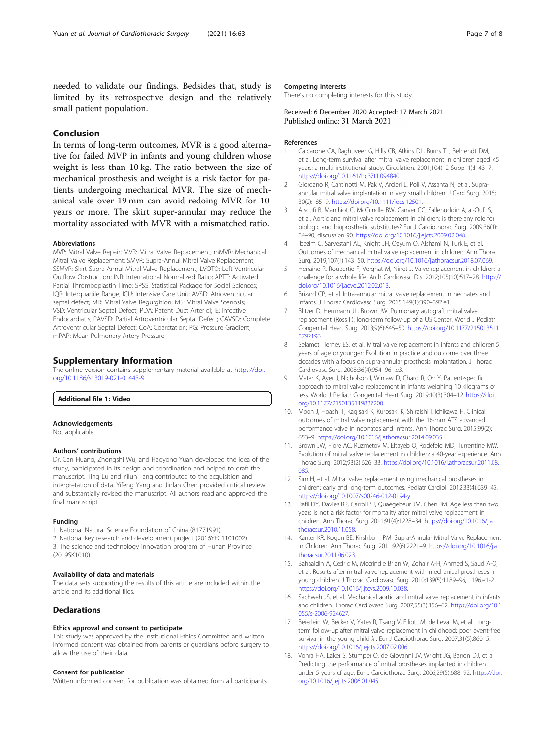<span id="page-6-0"></span>needed to validate our findings. Bedsides that, study is limited by its retrospective design and the relatively small patient population.

# Conclusion

In terms of long-term outcomes, MVR is a good alternative for failed MVP in infants and young children whose weight is less than 10 kg. The ratio between the size of mechanical prosthesis and weight is a risk factor for patients undergoing mechanical MVR. The size of mechanical vale over 19 mm can avoid redoing MVR for 10 years or more. The skirt super-annular may reduce the mortality associated with MVR with a mismatched ratio.

#### Abbreviations

MVP: Mitral Valve Repair; MVR: Mitral Valve Replacement; mMVR: Mechanical Mitral Valve Replacement; SMVR: Supra-Annul Mitral Valve Replacement; SSMVR: Skirt Supra-Annul Mitral Valve Replacement; LVOTO: Left Ventricular Outflow Obstruction; INR: International Normalized Ratio; APTT: Activated Partial Thromboplastin Time; SPSS: Statistical Package for Social Sciences; IQR: Interquartile Range; ICU: Intensive Care Unit; AVSD: Atrioventricular septal defect; MR: Mitral Valve Regurgition; MS: Mitral Valve Stenosis; VSD: Ventricular Septal Defect; PDA: Patent Duct Arteriol; IE: Infective Endocardiatis; PAVSD: Partial Artroventricular Septal Defect; CAVSD: Complete Artroventricular Septal Defect; CoA: Coarctation; PG: Pressure Gradient; mPAP: Mean Pulmonary Artery Pressure

# Supplementary Information

The online version contains supplementary material available at [https://doi.](https://doi.org/10.1186/s13019-021-01443-9) [org/10.1186/s13019-021-01443-9.](https://doi.org/10.1186/s13019-021-01443-9)

## Additional file 1: Video.

#### Acknowledgements

Not applicable.

#### Authors' contributions

Dr. Can Huang, Zhongshi Wu, and Haoyong Yuan developed the idea of the study, participated in its design and coordination and helped to draft the manuscript. Ting Lu and Yilun Tang contributed to the acquisition and interpretation of data. Yifeng Yang and Jinlan Chen provided critical review and substantially revised the manuscript. All authors read and approved the final manuscript.

#### Funding

1. National Natural Science Foundation of China (81771991) 2. National key research and development project (2016YFC1101002) 3. The science and technology innovation program of Hunan Province (2019SK1010)

#### Availability of data and materials

The data sets supporting the results of this article are included within the article and its additional files.

# **Declarations**

#### Ethics approval and consent to participate

This study was approved by the Institutional Ethics Committee and written informed consent was obtained from parents or guardians before surgery to allow the use of their data.

## Consent for publication

Written informed consent for publication was obtained from all participants.

#### Competing interests

There's no completing interests for this study.

## Received: 6 December 2020 Accepted: 17 March 2021 Published online: 31 March 2021

#### References

- 1. Caldarone CA, Raghuveer G, Hills CB, Atkins DL, Burns TL, Behrendt DM, et al. Long-term survival after mitral valve replacement in children aged <5 years: a multi-institutional study. Circulation. 2001;104(12 Suppl 1):I143–7. [https://doi.org/10.1161/hc37t1.094840.](https://doi.org/10.1161/hc37t1.094840)
- 2. Giordano R, Cantinotti M, Pak V, Arcieri L, Poli V, Assanta N, et al. Supraannular mitral valve implantation in very small children. J Card Surg. 2015; 30(2):185–9. [https://doi.org/10.1111/jocs.12501.](https://doi.org/10.1111/jocs.12501)
- 3. Alsoufi B, Manlhiot C, McCrindle BW, Canver CC, Sallehuddin A, al-Oufi S, et al. Aortic and mitral valve replacement in children: is there any role for biologic and bioprosthetic substitutes? Eur J Cardiothorac Surg. 2009;36(1): 84–90; discussion 90. [https://doi.org/10.1016/j.ejcts.2009.02.048.](https://doi.org/10.1016/j.ejcts.2009.02.048)
- 4. Ibezim C, Sarvestani AL, Knight JH, Qayum O, Alshami N, Turk E, et al. Outcomes of mechanical mitral valve replacement in children. Ann Thorac Surg. 2019;107(1):143–50. <https://doi.org/10.1016/j.athoracsur.2018.07.069>.
- 5. Henaine R, Roubertie F, Vergnat M, Ninet J. Valve replacement in children: a challenge for a whole life. Arch Cardiovasc Dis. 2012;105(10):517–28. [https://](https://doi.org/10.1016/j.acvd.2012.02.013) [doi.org/10.1016/j.acvd.2012.02.013.](https://doi.org/10.1016/j.acvd.2012.02.013)
- 6. Brizard CP, et al. Intra-annular mitral valve replacement in neonates and infants. J Thorac Cardiovasc Surg. 2015;149(1):390–392.e1.
- 7. Blitzer D, Herrmann JL, Brown JW. Pulmonary autograft mitral valve replacement (Ross II): long-term follow-up of a US Center. World J Pediatr Congenital Heart Surg. 2018;9(6):645–50. [https://doi.org/10.1177/215013511](https://doi.org/10.1177/2150135118792196) [8792196.](https://doi.org/10.1177/2150135118792196)
- 8. Selamet Tierney ES, et al. Mitral valve replacement in infants and children 5 years of age or younger: Evolution in practice and outcome over three decades with a focus on supra-annular prosthesis implantation. J Thorac Cardiovasc Surg. 2008;36(4):954–961.e3.
- 9. Mater K, Ayer J, Nicholson I, Winlaw D, Chard R, Orr Y. Patient-specific approach to mitral valve replacement in infants weighing 10 kilograms or less. World J Pediatr Congenital Heart Surg. 2019;10(3):304–12. [https://doi.](https://doi.org/10.1177/2150135119837200) [org/10.1177/2150135119837200.](https://doi.org/10.1177/2150135119837200)
- 10. Moon J, Hoashi T, Kagisaki K, Kurosaki K, Shiraishi I, Ichikawa H. Clinical outcomes of mitral valve replacement with the 16-mm ATS advanced performance valve in neonates and infants. Ann Thorac Surg. 2015;99(2): 653–9. <https://doi.org/10.1016/j.athoracsur.2014.09.035>.
- 11. Brown JW, Fiore AC, Ruzmetov M, Eltayeb O, Rodefeld MD, Turrentine MW. Evolution of mitral valve replacement in children: a 40-year experience. Ann Thorac Surg. 2012;93(2):626–33. [https://doi.org/10.1016/j.athoracsur.2011.08.](https://doi.org/10.1016/j.athoracsur.2011.08.085) [085.](https://doi.org/10.1016/j.athoracsur.2011.08.085)
- 12. Sim H, et al. Mitral valve replacement using mechanical prostheses in children: early and long-term outcomes. Pediatr Cardiol. 2012;33(4):639–45. [https://doi.org/10.1007/s00246-012-0194-y.](https://doi.org/10.1007/s00246-012-0194-y)
- 13. Rafii DY, Davies RR, Carroll SJ, Quaegebeur JM, Chen JM. Age less than two years is not a risk factor for mortality after mitral valve replacement in children. Ann Thorac Surg. 2011;91(4):1228–34. [https://doi.org/10.1016/j.a](https://doi.org/10.1016/j.athoracsur.2010.11.058) [thoracsur.2010.11.058](https://doi.org/10.1016/j.athoracsur.2010.11.058).
- 14. Kanter KR, Kogon BE, Kirshbom PM. Supra-Annular Mitral Valve Replacement in Children. Ann Thorac Surg. 2011;92(6):2221–9. [https://doi.org/10.1016/j.a](https://doi.org/10.1016/j.athoracsur.2011.06.023) [thoracsur.2011.06.023](https://doi.org/10.1016/j.athoracsur.2011.06.023).
- 15. Bahaaldin A, Cedric M, Mccrindle Brian W, Zohair A-H, Ahmed S, Saud A-O, et al. Results after mitral valve replacement with mechanical prostheses in young children. J Thorac Cardiovasc Surg. 2010;139(5):1189–96, 1196.e1-2. <https://doi.org/10.1016/j.jtcvs.2009.10.038>.
- 16. Sachweh JS, et al. Mechanical aortic and mitral valve replacement in infants and children. Thorac Cardiovasc Surg. 2007;55(3):156–62. [https://doi.org/10.1](https://doi.org/10.1055/s-2006-924627) [055/s-2006-924627](https://doi.org/10.1055/s-2006-924627).
- 17. Beierlein W, Becker V, Yates R, Tsang V, Elliott M, de Leval M, et al. Longterm follow-up after mitral valve replacement in childhood: poor event-free survival in the young child☆. Eur J Cardiothorac Surg. 2007;31(5):860–5. [https://doi.org/10.1016/j.ejcts.2007.02.006.](https://doi.org/10.1016/j.ejcts.2007.02.006)
- 18. Vohra HA, Laker S, Stumper O, de Giovanni JV, Wright JG, Barron DJ, et al. Predicting the performance of mitral prostheses implanted in children under 5 years of age. Eur J Cardiothorac Surg. 2006;29(5):688–92. [https://doi.](https://doi.org/10.1016/j.ejcts.2006.01.045) [org/10.1016/j.ejcts.2006.01.045.](https://doi.org/10.1016/j.ejcts.2006.01.045)